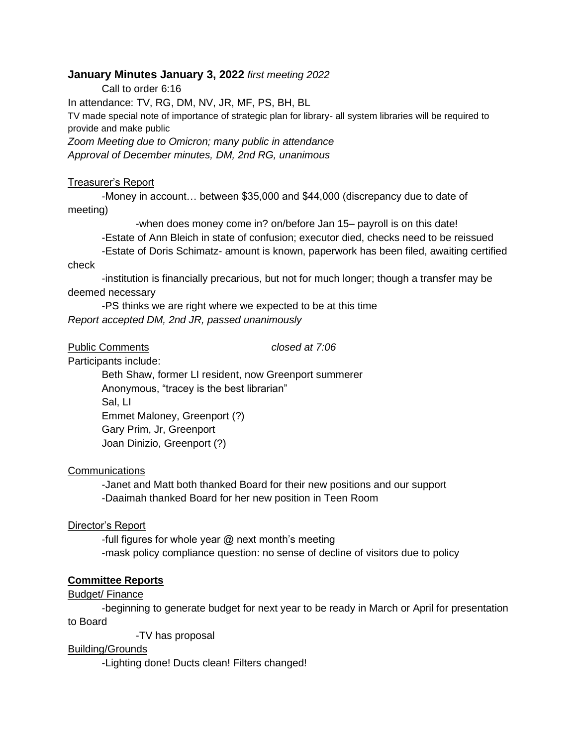# **January Minutes January 3, 2022** *first meeting 2022*

Call to order 6:16

In attendance: TV, RG, DM, NV, JR, MF, PS, BH, BL

TV made special note of importance of strategic plan for library- all system libraries will be required to provide and make public

*Zoom Meeting due to Omicron; many public in attendance Approval of December minutes, DM, 2nd RG, unanimous* 

#### Treasurer's Report

-Money in account… between \$35,000 and \$44,000 (discrepancy due to date of meeting)

-when does money come in? on/before Jan 15– payroll is on this date!

-Estate of Ann Bleich in state of confusion; executor died, checks need to be reissued

-Estate of Doris Schimatz- amount is known, paperwork has been filed, awaiting certified check

-institution is financially precarious, but not for much longer; though a transfer may be deemed necessary

-PS thinks we are right where we expected to be at this time *Report accepted DM, 2nd JR, passed unanimously*

Public Comments *closed at 7:06*

Participants include:

Beth Shaw, former LI resident, now Greenport summerer Anonymous, "tracey is the best librarian" Sal, LI Emmet Maloney, Greenport (?) Gary Prim, Jr, Greenport Joan Dinizio, Greenport (?)

## Communications

-Janet and Matt both thanked Board for their new positions and our support -Daaimah thanked Board for her new position in Teen Room

# Director's Report

-full figures for whole year  $@$  next month's meeting -mask policy compliance question: no sense of decline of visitors due to policy

## **Committee Reports**

## Budget/ Finance

-beginning to generate budget for next year to be ready in March or April for presentation to Board

-TV has proposal

# Building/Grounds

-Lighting done! Ducts clean! Filters changed!